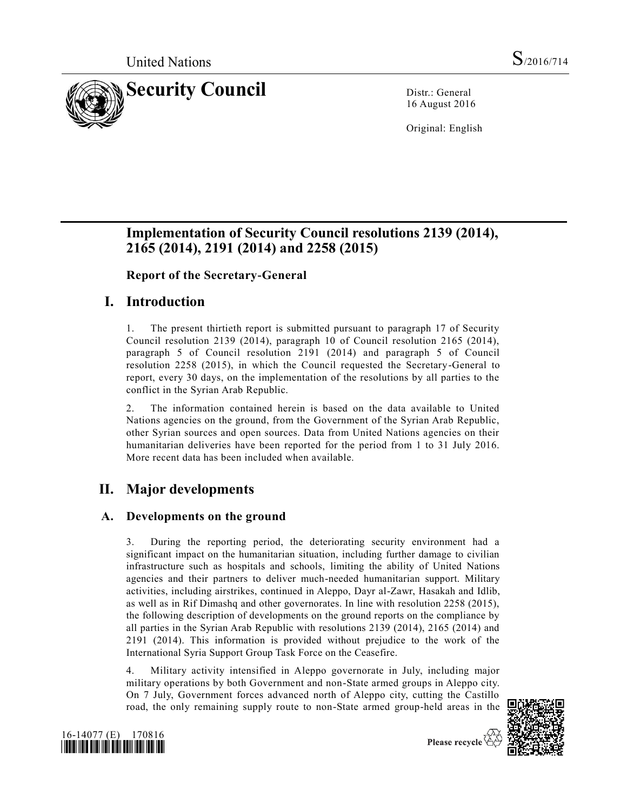

16 August 2016

Original: English

# **Implementation of Security Council resolutions 2139 (2014), 2165 (2014), 2191 (2014) and 2258 (2015)**

**Report of the Secretary-General** 

# **I. Introduction**

1. The present thirtieth report is submitted pursuant to paragraph 17 of Security Council resolution 2139 (2014), paragraph 10 of Council resolution 2165 (2014), paragraph 5 of Council resolution 2191 (2014) and paragraph 5 of Council resolution 2258 (2015), in which the Council requested the Secretary-General to report, every 30 days, on the implementation of the resolutions by all parties to the conflict in the Syrian Arab Republic.

2. The information contained herein is based on the data available to United Nations agencies on the ground, from the Government of the Syrian Arab Republic, other Syrian sources and open sources. Data from United Nations agencies on their humanitarian deliveries have been reported for the period from 1 to 31 July 2016. More recent data has been included when available.

# **II. Major developments**

## **A. Developments on the ground**

3. During the reporting period, the deteriorating security environment had a significant impact on the humanitarian situation, including further damage to civilian infrastructure such as hospitals and schools, limiting the ability of United Nations agencies and their partners to deliver much-needed humanitarian support. Military activities, including airstrikes, continued in Aleppo, Dayr al-Zawr, Hasakah and Idlib, as well as in Rif Dimashq and other governorates. In line with resolution 2258 (2015), the following description of developments on the ground reports on the compliance by all parties in the Syrian Arab Republic with resolutions 2139 (2014), 2165 (2014) and 2191 (2014). This information is provided without prejudice to the work of the International Syria Support Group Task Force on the Ceasefire.

4. Military activity intensified in Aleppo governorate in July, including major military operations by both Government and non-State armed groups in Aleppo city. On 7 July, Government forces advanced north of Aleppo city, cutting the Castillo road, the only remaining supply route to non-State armed group-held areas in the



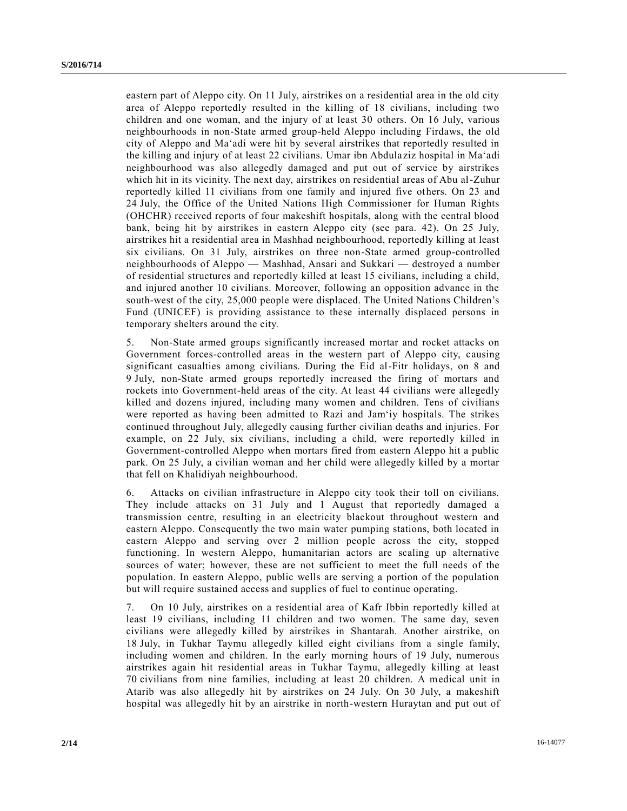eastern part of Aleppo city. On 11 July, airstrikes on a residential area in the old city area of Aleppo reportedly resulted in the killing of 18 civilians, including two children and one woman, and the injury of at least 30 others. On 16 July, various neighbourhoods in non-State armed group-held Aleppo including Firdaws, the old city of Aleppo and Ma'adi were hit by several airstrikes that reportedly resulted in the killing and injury of at least 22 civilians. Umar ibn Abdula ziz hospital in Ma'adi neighbourhood was also allegedly damaged and put out of service by airstrikes which hit in its vicinity. The next day, airstrikes on residential areas of Abu al-Zuhur reportedly killed 11 civilians from one family and injured five others. On 23 and 24 July, the Office of the United Nations High Commissioner for Human Rights (OHCHR) received reports of four makeshift hospitals, along with the central blood bank, being hit by airstrikes in eastern Aleppo city (see para. 42). On 25 July, airstrikes hit a residential area in Mashhad neighbourhood, reportedly killing at least six civilians. On 31 July, airstrikes on three non-State armed group-controlled neighbourhoods of Aleppo — Mashhad, Ansari and Sukkari — destroyed a number of residential structures and reportedly killed at least 15 civilians, including a child, and injured another 10 civilians. Moreover, following an opposition advance in the south-west of the city, 25,000 people were displaced. The United Nations Children's Fund (UNICEF) is providing assistance to these internally displaced persons in temporary shelters around the city.

5. Non-State armed groups significantly increased mortar and rocket attacks on Government forces-controlled areas in the western part of Aleppo city, causing significant casualties among civilians. During the Eid al-Fitr holidays, on 8 and 9 July, non-State armed groups reportedly increased the firing of mortars and rockets into Government-held areas of the city. At least 44 civilians were allegedly killed and dozens injured, including many women and children. Tens of civilians were reported as having been admitted to Razi and Jam'iy hospitals. The strikes continued throughout July, allegedly causing further civilian deaths and injuries. For example, on 22 July, six civilians, including a child, were reportedly killed in Government-controlled Aleppo when mortars fired from eastern Aleppo hit a public park. On 25 July, a civilian woman and her child were allegedly killed by a mortar that fell on Khalidiyah neighbourhood.

6. Attacks on civilian infrastructure in Aleppo city took their toll on civilians. They include attacks on 31 July and 1 August that reportedly damaged a transmission centre, resulting in an electricity blackout throughout western and eastern Aleppo. Consequently the two main water pumping stations, both located in eastern Aleppo and serving over 2 million people across the city, stopped functioning. In western Aleppo, humanitarian actors are scaling up alternative sources of water; however, these are not sufficient to meet the full needs of the population. In eastern Aleppo, public wells are serving a portion of the population but will require sustained access and supplies of fuel to continue operating.

7. On 10 July, airstrikes on a residential area of Kafr Ibbin reportedly killed at least 19 civilians, including 11 children and two women. The same day, seven civilians were allegedly killed by airstrikes in Shantarah. Another airstrike, on 18 July, in Tukhar Taymu allegedly killed eight civilians from a single family, including women and children. In the early morning hours of 19 July, numerous airstrikes again hit residential areas in Tukhar Taymu, allegedly killing at least 70 civilians from nine families, including at least 20 children. A medical unit in Atarib was also allegedly hit by airstrikes on 24 July. On 30 July, a makeshift hospital was allegedly hit by an airstrike in north-western Huraytan and put out of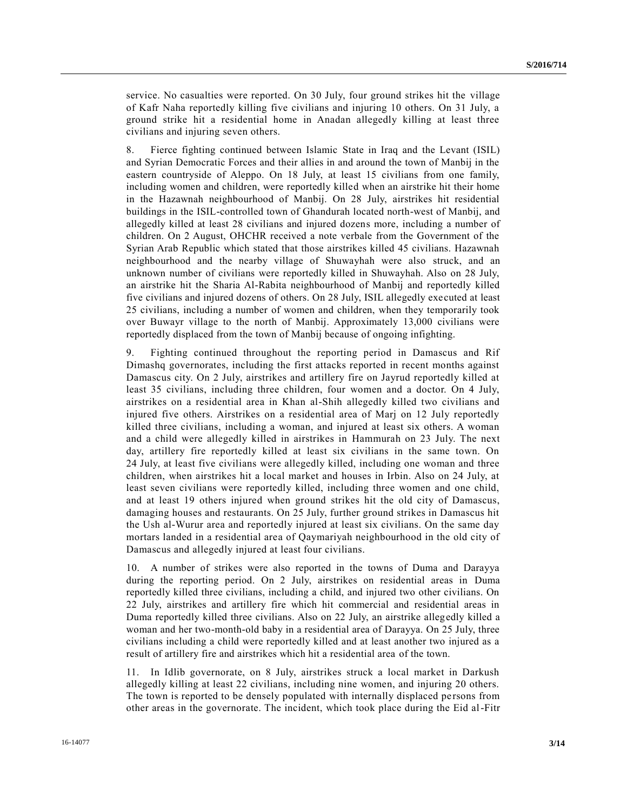service. No casualties were reported. On 30 July, four ground strikes hit the village of Kafr Naha reportedly killing five civilians and injuring 10 others. On 31 July, a ground strike hit a residential home in Anadan allegedly killing at least three civilians and injuring seven others.

8. Fierce fighting continued between Islamic State in Iraq and the Levant (ISIL) and Syrian Democratic Forces and their allies in and around the town of Manbij in the eastern countryside of Aleppo. On 18 July, at least 15 civilians from one family, including women and children, were reportedly killed when an airstrike hit their home in the Hazawnah neighbourhood of Manbij. On 28 July, airstrikes hit residential buildings in the ISIL-controlled town of Ghandurah located north-west of Manbij, and allegedly killed at least 28 civilians and injured dozens more, including a number of children. On 2 August, OHCHR received a note verbale from the Government of the Syrian Arab Republic which stated that those airstrikes killed 45 civilians. Hazawnah neighbourhood and the nearby village of Shuwayhah were also struck, and an unknown number of civilians were reportedly killed in Shuwayhah. Also on 28 July, an airstrike hit the Sharia Al-Rabita neighbourhood of Manbij and reportedly killed five civilians and injured dozens of others. On 28 July, ISIL allegedly executed at least 25 civilians, including a number of women and children, when they temporarily took over Buwayr village to the north of Manbij. Approximately 13,000 civilians were reportedly displaced from the town of Manbij because of ongoing infighting.

9. Fighting continued throughout the reporting period in Damascus and Rif Dimashq governorates, including the first attacks reported in recent months against Damascus city. On 2 July, airstrikes and artillery fire on Jayrud reportedly killed at least 35 civilians, including three children, four women and a doctor. On 4 July, airstrikes on a residential area in Khan al-Shih allegedly killed two civilians and injured five others. Airstrikes on a residential area of Marj on 12 July reportedly killed three civilians, including a woman, and injured at least six others. A woman and a child were allegedly killed in airstrikes in Hammurah on 23 July. The next day, artillery fire reportedly killed at least six civilians in the same town. On 24 July, at least five civilians were allegedly killed, including one woman and three children, when airstrikes hit a local market and houses in Irbin. Also on 24 July, at least seven civilians were reportedly killed, including three women and one child, and at least 19 others injured when ground strikes hit the old city of Damascus, damaging houses and restaurants. On 25 July, further ground strikes in Damascus hit the Ush al-Wurur area and reportedly injured at least six civilians. On the same day mortars landed in a residential area of Qaymariyah neighbourhood in the old city of Damascus and allegedly injured at least four civilians.

10. A number of strikes were also reported in the towns of Duma and Darayya during the reporting period. On 2 July, airstrikes on residential areas in Duma reportedly killed three civilians, including a child, and injured two other civilians. On 22 July, airstrikes and artillery fire which hit commercial and residential areas in Duma reportedly killed three civilians. Also on 22 July, an airstrike allegedly killed a woman and her two-month-old baby in a residential area of Darayya. On 25 July, three civilians including a child were reportedly killed and at least another two injured as a result of artillery fire and airstrikes which hit a residential area of the town.

11. In Idlib governorate, on 8 July, airstrikes struck a local market in Darkush allegedly killing at least 22 civilians, including nine women, and injuring 20 others. The town is reported to be densely populated with internally displaced pe rsons from other areas in the governorate. The incident, which took place during the Eid al-Fitr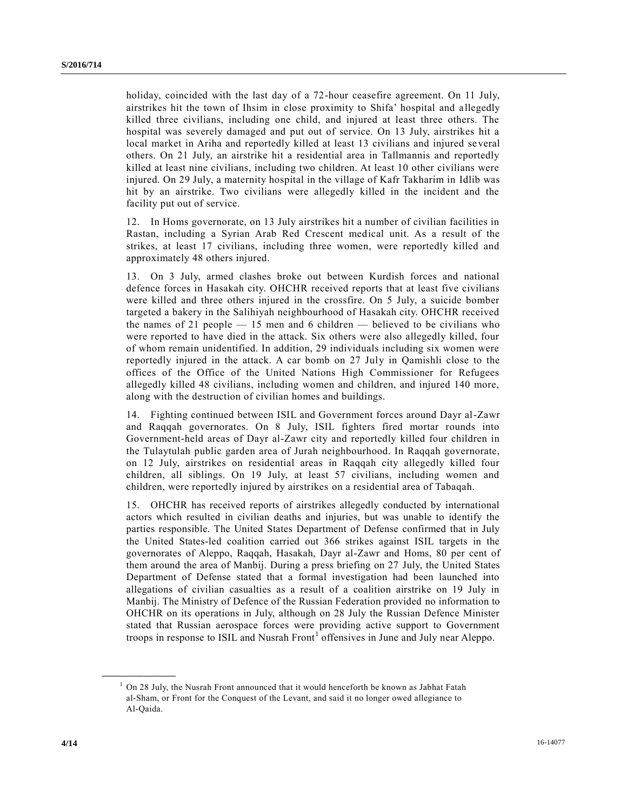holiday, coincided with the last day of a 72-hour ceasefire agreement. On 11 July, airstrikes hit the town of Ihsim in close proximity to Shifa' hospital and a llegedly killed three civilians, including one child, and injured at least three others. The hospital was severely damaged and put out of service. On 13 July, airstrikes hit a local market in Ariha and reportedly killed at least 13 civilians and injured se veral others. On 21 July, an airstrike hit a residential area in Tallmannis and reportedly killed at least nine civilians, including two children. At least 10 other civilians were injured. On 29 July, a maternity hospital in the village of Kafr Takharim in Idlib was hit by an airstrike. Two civilians were allegedly killed in the incident and the facility put out of service.

12. In Homs governorate, on 13 July airstrikes hit a number of civilian facilities in Rastan, including a Syrian Arab Red Crescent medical unit. As a result of the strikes, at least 17 civilians, including three women, were reportedly killed and approximately 48 others injured.

13. On 3 July, armed clashes broke out between Kurdish forces and national defence forces in Hasakah city. OHCHR received reports that at least five civilians were killed and three others injured in the crossfire. On 5 July, a suicide bomber targeted a bakery in the Salihiyah neighbourhood of Hasakah city. OHCHR received the names of 21 people — 15 men and 6 children — believed to be civilians who were reported to have died in the attack. Six others were also allegedly killed, four of whom remain unidentified. In addition, 29 individuals including six women were reportedly injured in the attack. A car bomb on 27 July in Qamishli close to the offices of the Office of the United Nations High Commissioner for Refugees allegedly killed 48 civilians, including women and children, and injured 140 more, along with the destruction of civilian homes and buildings.

14. Fighting continued between ISIL and Government forces around Dayr al-Zawr and Raqqah governorates. On 8 July, ISIL fighters fired mortar rounds into Government-held areas of Dayr al-Zawr city and reportedly killed four children in the Tulaytulah public garden area of Jurah neighbourhood. In Raqqah governorate, on 12 July, airstrikes on residential areas in Raqqah city allegedly killed four children, all siblings. On 19 July, at least 57 civilians, including women and children, were reportedly injured by airstrikes on a residential area of Tabaqah.

15. OHCHR has received reports of airstrikes allegedly conducted by international actors which resulted in civilian deaths and injuries, but was unable to identify the parties responsible. The United States Department of Defense confirmed that in July the United States-led coalition carried out 366 strikes against ISIL targets in the governorates of Aleppo, Raqqah, Hasakah, Dayr al-Zawr and Homs, 80 per cent of them around the area of Manbij. During a press briefing on 27 July, the United States Department of Defense stated that a formal investigation had been launched into allegations of civilian casualties as a result of a coalition airstrike on 19 July in Manbij. The Ministry of Defence of the Russian Federation provided no information to OHCHR on its operations in July, although on 28 July the Russian Defence Minister stated that Russian aerospace forces were providing active support to Government troops in response to ISIL and Nusrah  $Front<sup>1</sup>$  offensives in June and July near Aleppo.

**\_\_\_\_\_\_\_\_\_\_\_\_\_\_\_\_\_\_**

 $1$  On 28 July, the Nusrah Front announced that it would henceforth be known as Jabhat Fatah al-Sham, or Front for the Conquest of the Levant, and said it no longer owed allegiance to Al-Qaida.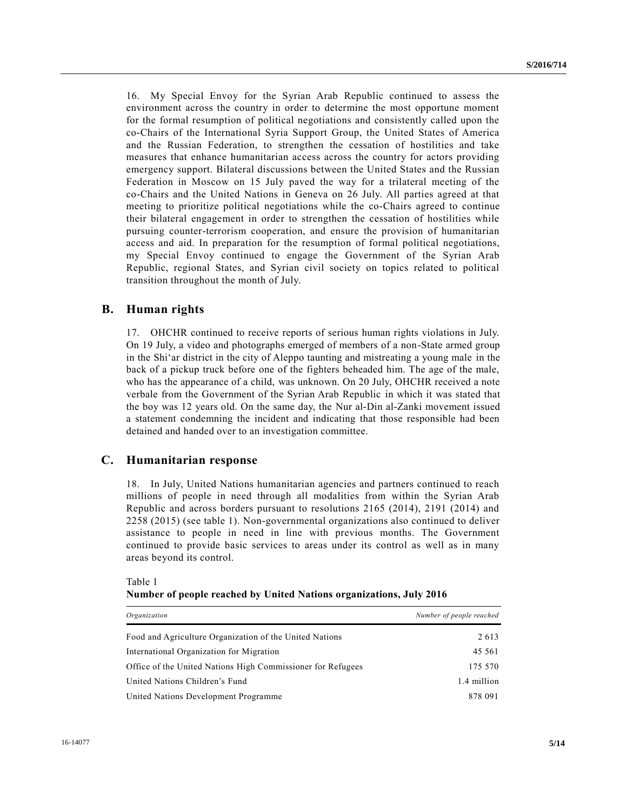16. My Special Envoy for the Syrian Arab Republic continued to assess the environment across the country in order to determine the most opportune moment for the formal resumption of political negotiations and consistently called upon the co-Chairs of the International Syria Support Group, the United States of America and the Russian Federation, to strengthen the cessation of hostilities and take measures that enhance humanitarian access across the country for actors providing emergency support. Bilateral discussions between the United States and the Russian Federation in Moscow on 15 July paved the way for a trilateral meeting of the co-Chairs and the United Nations in Geneva on 26 July. All parties agreed at that meeting to prioritize political negotiations while the co-Chairs agreed to continue their bilateral engagement in order to strengthen the cessation of hostilities while pursuing counter-terrorism cooperation, and ensure the provision of humanitarian access and aid. In preparation for the resumption of formal political negotiations, my Special Envoy continued to engage the Government of the Syrian Arab Republic, regional States, and Syrian civil society on topics related to political transition throughout the month of July.

## **B. Human rights**

17. OHCHR continued to receive reports of serious human rights violations in July. On 19 July, a video and photographs emerged of members of a non-State armed group in the Shi'ar district in the city of Aleppo taunting and mistreating a young male in the back of a pickup truck before one of the fighters beheaded him. The age of the male, who has the appearance of a child, was unknown. On 20 July, OHCHR received a note verbale from the Government of the Syrian Arab Republic in which it was stated that the boy was 12 years old. On the same day, the Nur al-Din al-Zanki movement issued a statement condemning the incident and indicating that those responsible had been detained and handed over to an investigation committee.

## **C. Humanitarian response**

18. In July, United Nations humanitarian agencies and partners continued to reach millions of people in need through all modalities from within the Syrian Arab Republic and across borders pursuant to resolutions 2165 (2014), 2191 (2014) and 2258 (2015) (see table 1). Non-governmental organizations also continued to deliver assistance to people in need in line with previous months. The Government continued to provide basic services to areas under its control as well as in many areas beyond its control.

| Organization                                                | Number of people reached |
|-------------------------------------------------------------|--------------------------|
| Food and Agriculture Organization of the United Nations     | 2613                     |
| International Organization for Migration                    | 45 561                   |
| Office of the United Nations High Commissioner for Refugees | 175 570                  |
| United Nations Children's Fund                              | 1.4 million              |
| United Nations Development Programme                        | 878 091                  |

### Table 1 **Number of people reached by United Nations organizations, July 2016**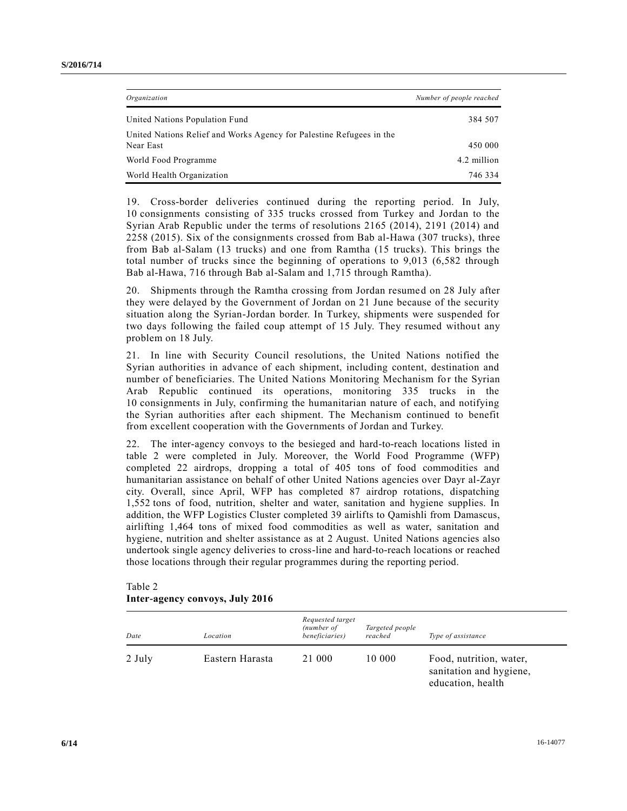| Organization                                                                      | Number of people reached |
|-----------------------------------------------------------------------------------|--------------------------|
| United Nations Population Fund                                                    | 384 507                  |
| United Nations Relief and Works Agency for Palestine Refugees in the<br>Near East | 450 000                  |
| World Food Programme                                                              | 4.2 million              |
| World Health Organization                                                         | 746 334                  |

19. Cross-border deliveries continued during the reporting period. In July, 10 consignments consisting of 335 trucks crossed from Turkey and Jordan to the Syrian Arab Republic under the terms of resolutions 2165 (2014), 2191 (2014) and 2258 (2015). Six of the consignments crossed from Bab al-Hawa (307 trucks), three from Bab al-Salam (13 trucks) and one from Ramtha (15 trucks). This brings the total number of trucks since the beginning of operations to 9,013 (6,582 through Bab al-Hawa, 716 through Bab al-Salam and 1,715 through Ramtha).

20. Shipments through the Ramtha crossing from Jordan resumed on 28 July after they were delayed by the Government of Jordan on 21 June because of the security situation along the Syrian-Jordan border. In Turkey, shipments were suspended for two days following the failed coup attempt of 15 July. They resumed without any problem on 18 July.

21. In line with Security Council resolutions, the United Nations notified the Syrian authorities in advance of each shipment, including content, destination and number of beneficiaries. The United Nations Monitoring Mechanism for the Syrian Arab Republic continued its operations, monitoring 335 trucks in the 10 consignments in July, confirming the humanitarian nature of each, and notifying the Syrian authorities after each shipment. The Mechanism continued to benefit from excellent cooperation with the Governments of Jordan and Turkey.

22. The inter-agency convoys to the besieged and hard-to-reach locations listed in table 2 were completed in July. Moreover, the World Food Programme (WFP) completed 22 airdrops, dropping a total of 405 tons of food commodities and humanitarian assistance on behalf of other United Nations agencies over Dayr al-Zayr city. Overall, since April, WFP has completed 87 airdrop rotations, dispatching 1,552 tons of food, nutrition, shelter and water, sanitation and hygiene supplies. In addition, the WFP Logistics Cluster completed 39 airlifts to Qamishli from Damascus, airlifting 1,464 tons of mixed food commodities as well as water, sanitation and hygiene, nutrition and shelter assistance as at 2 August. United Nations agencies also undertook single agency deliveries to cross-line and hard-to-reach locations or reached those locations through their regular programmes during the reporting period.

| Date   | Location        | Requested target<br>(number of<br>beneficiaries) | Targeted people<br>reached | Type of assistance                                                      |
|--------|-----------------|--------------------------------------------------|----------------------------|-------------------------------------------------------------------------|
| 2 July | Eastern Harasta | 21 000                                           | 10 000                     | Food, nutrition, water,<br>sanitation and hygiene,<br>education, health |

#### Table 2 **Inter-agency convoys, July 2016**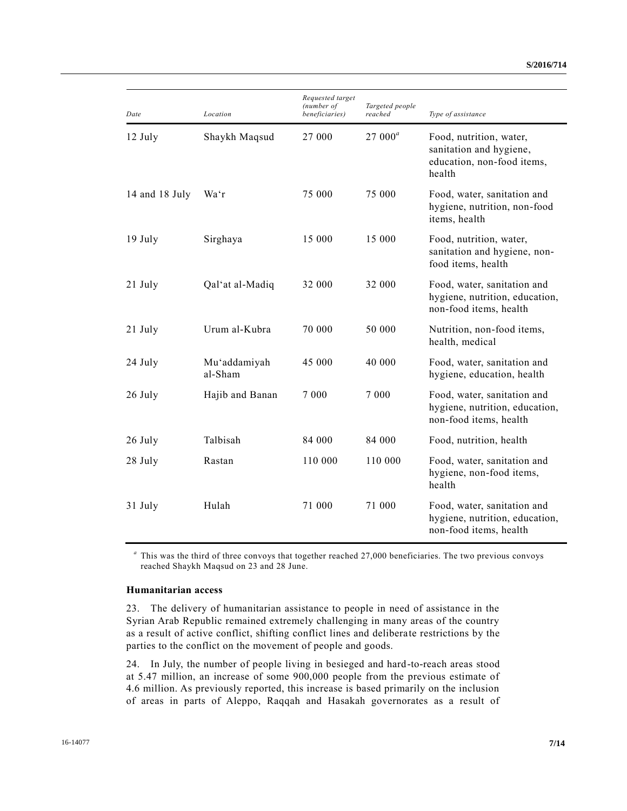| Date           | Location                | Requested target<br>(number of<br>beneficiaries) | Targeted people<br>reached | Type of assistance                                                                         |
|----------------|-------------------------|--------------------------------------------------|----------------------------|--------------------------------------------------------------------------------------------|
| 12 July        | Shaykh Maqsud           | 27 000                                           | $27000^a$                  | Food, nutrition, water,<br>sanitation and hygiene,<br>education, non-food items,<br>health |
| 14 and 18 July | Wa'r                    | 75 000                                           | 75 000                     | Food, water, sanitation and<br>hygiene, nutrition, non-food<br>items, health               |
| $19$ July      | Sirghaya                | 15 000                                           | 15 000                     | Food, nutrition, water,<br>sanitation and hygiene, non-<br>food items, health              |
| 21 July        | Qal'at al-Madiq         | 32 000                                           | 32 000                     | Food, water, sanitation and<br>hygiene, nutrition, education,<br>non-food items, health    |
| 21 July        | Urum al-Kubra           | 70 000                                           | 50 000                     | Nutrition, non-food items,<br>health, medical                                              |
| 24 July        | Mu'addamiyah<br>al-Sham | 45 000                                           | 40 000                     | Food, water, sanitation and<br>hygiene, education, health                                  |
| 26 July        | Hajib and Banan         | 7 0 0 0                                          | 7 0 0 0                    | Food, water, sanitation and<br>hygiene, nutrition, education,<br>non-food items, health    |
| 26 July        | Talbisah                | 84 000                                           | 84 000                     | Food, nutrition, health                                                                    |
| 28 July        | Rastan                  | 110 000                                          | 110 000                    | Food, water, sanitation and<br>hygiene, non-food items,<br>health                          |
| 31 July        | Hulah                   | 71 000                                           | 71 000                     | Food, water, sanitation and<br>hygiene, nutrition, education,<br>non-food items, health    |

*a* This was the third of three convoys that together reached 27,000 beneficiaries. The two previous convoys reached Shaykh Maqsud on 23 and 28 June.

#### **Humanitarian access**

23. The delivery of humanitarian assistance to people in need of assistance in the Syrian Arab Republic remained extremely challenging in many areas of the country as a result of active conflict, shifting conflict lines and deliberate restrictions by the parties to the conflict on the movement of people and goods.

24. In July, the number of people living in besieged and hard-to-reach areas stood at 5.47 million, an increase of some 900,000 people from the previous estimate of 4.6 million. As previously reported, this increase is based primarily on the inclusion of areas in parts of Aleppo, Raqqah and Hasakah governorates as a result of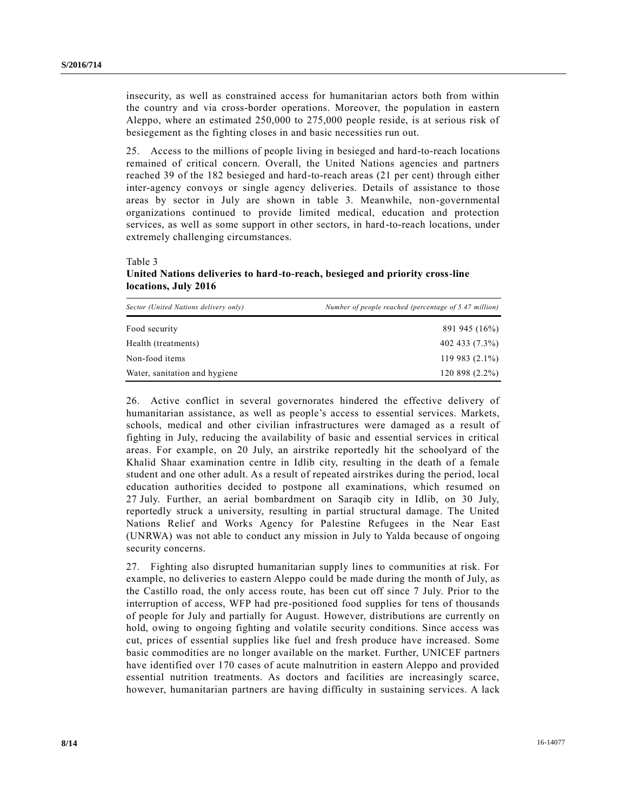insecurity, as well as constrained access for humanitarian actors both from within the country and via cross-border operations. Moreover, the population in eastern Aleppo, where an estimated 250,000 to 275,000 people reside, is at serious risk of besiegement as the fighting closes in and basic necessities run out.

25. Access to the millions of people living in besieged and hard-to-reach locations remained of critical concern. Overall, the United Nations agencies and partners reached 39 of the 182 besieged and hard-to-reach areas (21 per cent) through either inter-agency convoys or single agency deliveries. Details of assistance to those areas by sector in July are shown in table 3. Meanwhile, non-governmental organizations continued to provide limited medical, education and protection services, as well as some support in other sectors, in hard-to-reach locations, under extremely challenging circumstances.

#### Table 3

## **United Nations deliveries to hard-to-reach, besieged and priority cross-line locations, July 2016**

| Sector (United Nations delivery only) | Number of people reached (percentage of 5.47 million) |
|---------------------------------------|-------------------------------------------------------|
| Food security                         | 891 945 (16%)                                         |
| Health (treatments)                   | 402 433 (7.3%)                                        |
| Non-food items                        | $119983(2.1\%)$                                       |
| Water, sanitation and hygiene         | 120 898 (2.2%)                                        |

26. Active conflict in several governorates hindered the effective delivery of humanitarian assistance, as well as people's access to essential services. Markets, schools, medical and other civilian infrastructures were damaged as a result of fighting in July, reducing the availability of basic and essential services in critical areas. For example, on 20 July, an airstrike reportedly hit the schoolyard of the Khalid Shaar examination centre in Idlib city, resulting in the death of a female student and one other adult. As a result of repeated airstrikes during the period, local education authorities decided to postpone all examinations, which resumed on 27 July. Further, an aerial bombardment on Saraqib city in Idlib, on 30 July, reportedly struck a university, resulting in partial structural damage. The United Nations Relief and Works Agency for Palestine Refugees in the Near East (UNRWA) was not able to conduct any mission in July to Yalda because of ongoing security concerns.

27. Fighting also disrupted humanitarian supply lines to communities at risk. For example, no deliveries to eastern Aleppo could be made during the month of July, as the Castillo road, the only access route, has been cut off since 7 July. Prior to the interruption of access, WFP had pre-positioned food supplies for tens of thousands of people for July and partially for August. However, distributions are currently on hold, owing to ongoing fighting and volatile security conditions. Since access was cut, prices of essential supplies like fuel and fresh produce have increased. Some basic commodities are no longer available on the market. Further, UNICEF partners have identified over 170 cases of acute malnutrition in eastern Aleppo and provided essential nutrition treatments. As doctors and facilities are increasingly scarce, however, humanitarian partners are having difficulty in sustaining services. A lack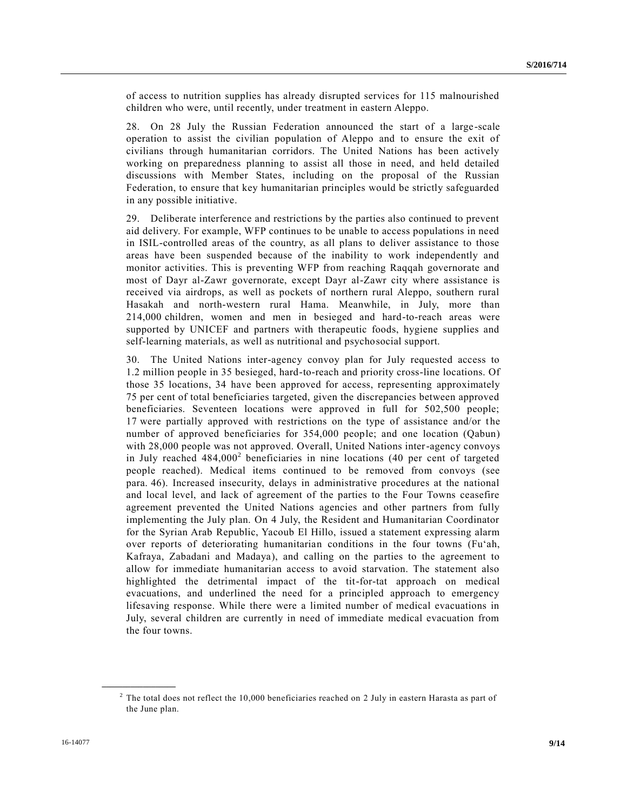of access to nutrition supplies has already disrupted services for 115 malnourished children who were, until recently, under treatment in eastern Aleppo.

28. On 28 July the Russian Federation announced the start of a large-scale operation to assist the civilian population of Aleppo and to ensure the exit of civilians through humanitarian corridors. The United Nations has been actively working on preparedness planning to assist all those in need, and held detailed discussions with Member States, including on the proposal of the Russian Federation, to ensure that key humanitarian principles would be strictly safeguarded in any possible initiative.

29. Deliberate interference and restrictions by the parties also continued to prevent aid delivery. For example, WFP continues to be unable to access populations in need in ISIL-controlled areas of the country, as all plans to deliver assistance to those areas have been suspended because of the inability to work independently and monitor activities. This is preventing WFP from reaching Raqqah governorate and most of Dayr al-Zawr governorate, except Dayr al-Zawr city where assistance is received via airdrops, as well as pockets of northern rural Aleppo, southern rural Hasakah and north-western rural Hama. Meanwhile, in July, more than 214,000 children, women and men in besieged and hard-to-reach areas were supported by UNICEF and partners with therapeutic foods, hygiene supplies and self-learning materials, as well as nutritional and psychosocial support.

30. The United Nations inter-agency convoy plan for July requested access to 1.2 million people in 35 besieged, hard-to-reach and priority cross-line locations. Of those 35 locations, 34 have been approved for access, representing approximately 75 per cent of total beneficiaries targeted, given the discrepancies between approved beneficiaries. Seventeen locations were approved in full for 502,500 people; 17 were partially approved with restrictions on the type of assistance and/or the number of approved beneficiaries for 354,000 people; and one location (Qabun) with 28,000 people was not approved. Overall, United Nations inter-agency convoys in July reached  $484,000^2$  beneficiaries in nine locations (40 per cent of targeted people reached). Medical items continued to be removed from convoys (see para. 46). Increased insecurity, delays in administrative procedures at the national and local level, and lack of agreement of the parties to the Four Towns ceasefire agreement prevented the United Nations agencies and other partners from fully implementing the July plan. On 4 July, the Resident and Humanitarian Coordinator for the Syrian Arab Republic, Yacoub El Hillo, issued a statement expressing alarm over reports of deteriorating humanitarian conditions in the four towns (Fu'ah, Kafraya, Zabadani and Madaya), and calling on the parties to the agreement to allow for immediate humanitarian access to avoid starvation. The statement also highlighted the detrimental impact of the tit-for-tat approach on medical evacuations, and underlined the need for a principled approach to emergency lifesaving response. While there were a limited number of medical evacuations in July, several children are currently in need of immediate medical evacuation from the four towns.

**\_\_\_\_\_\_\_\_\_\_\_\_\_\_\_\_\_\_**

<sup>&</sup>lt;sup>2</sup> The total does not reflect the 10,000 beneficiaries reached on 2 July in eastern Harasta as part of the June plan.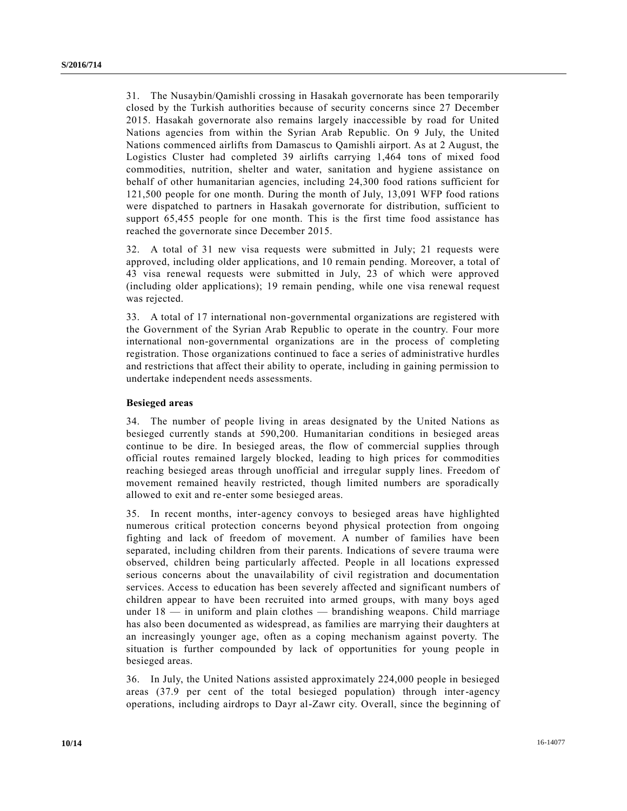31. The Nusaybin/Qamishli crossing in Hasakah governorate has been temporarily closed by the Turkish authorities because of security concerns since 27 December 2015. Hasakah governorate also remains largely inaccessible by road for United Nations agencies from within the Syrian Arab Republic. On 9 July, the United Nations commenced airlifts from Damascus to Qamishli airport. As at 2 August, the Logistics Cluster had completed 39 airlifts carrying 1,464 tons of mixed food commodities, nutrition, shelter and water, sanitation and hygiene assistance on behalf of other humanitarian agencies, including 24,300 food rations sufficient for 121,500 people for one month. During the month of July, 13,091 WFP food rations were dispatched to partners in Hasakah governorate for distribution, sufficient to support 65,455 people for one month. This is the first time food assistance has reached the governorate since December 2015.

32. A total of 31 new visa requests were submitted in July; 21 requests were approved, including older applications, and 10 remain pending. Moreover, a total of 43 visa renewal requests were submitted in July, 23 of which were approved (including older applications); 19 remain pending, while one visa renewal request was rejected.

33. A total of 17 international non-governmental organizations are registered with the Government of the Syrian Arab Republic to operate in the country. Four more international non-governmental organizations are in the process of completing registration. Those organizations continued to face a series of administrative hurdles and restrictions that affect their ability to operate, including in gaining permission to undertake independent needs assessments.

#### **Besieged areas**

34. The number of people living in areas designated by the United Nations as besieged currently stands at 590,200. Humanitarian conditions in besieged areas continue to be dire. In besieged areas, the flow of commercial supplies through official routes remained largely blocked, leading to high prices for commodities reaching besieged areas through unofficial and irregular supply lines. Freedom of movement remained heavily restricted, though limited numbers are sporadically allowed to exit and re-enter some besieged areas.

35. In recent months, inter-agency convoys to besieged areas have highlighted numerous critical protection concerns beyond physical protection from ongoing fighting and lack of freedom of movement. A number of families have been separated, including children from their parents. Indications of severe trauma were observed, children being particularly affected. People in all locations expressed serious concerns about the unavailability of civil registration and documentation services. Access to education has been severely affected and significant numbers of children appear to have been recruited into armed groups, with many boys aged under  $18 -$  in uniform and plain clothes  $-$  brandishing weapons. Child marriage has also been documented as widespread, as families are marrying their daughters at an increasingly younger age, often as a coping mechanism against poverty. The situation is further compounded by lack of opportunities for young people in besieged areas.

36. In July, the United Nations assisted approximately 224,000 people in besieged areas (37.9 per cent of the total besieged population) through inter-agency operations, including airdrops to Dayr al-Zawr city. Overall, since the beginning of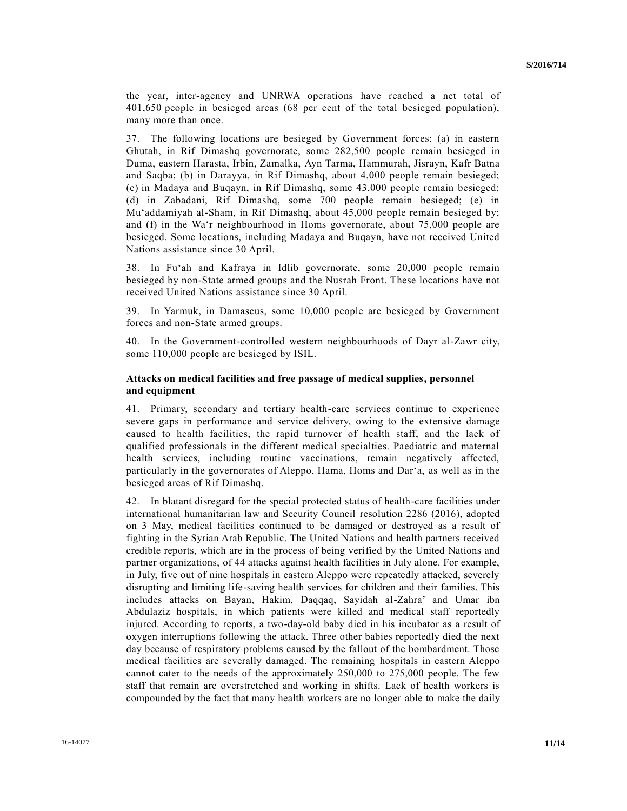the year, inter-agency and UNRWA operations have reached a net total of 401,650 people in besieged areas (68 per cent of the total besieged population), many more than once.

37. The following locations are besieged by Government forces: (a) in eastern Ghutah, in Rif Dimashq governorate, some 282,500 people remain besieged in Duma, eastern Harasta, Irbin, Zamalka, Ayn Tarma, Hammurah, Jisrayn, Kafr Batna and Saqba; (b) in Darayya, in Rif Dimashq, about 4,000 people remain besieged; (c) in Madaya and Buqayn, in Rif Dimashq, some 43,000 people remain besieged; (d) in Zabadani, Rif Dimashq, some 700 people remain besieged; (e) in Mu'addamiyah al-Sham, in Rif Dimashq, about 45,000 people remain besieged by; and (f) in the Wa'r neighbourhood in Homs governorate, about 75,000 people are besieged. Some locations, including Madaya and Buqayn, have not received United Nations assistance since 30 April.

38. In Fu'ah and Kafraya in Idlib governorate, some 20,000 people remain besieged by non-State armed groups and the Nusrah Front. These locations have not received United Nations assistance since 30 April.

39. In Yarmuk, in Damascus, some 10,000 people are besieged by Government forces and non-State armed groups.

40. In the Government-controlled western neighbourhoods of Dayr al-Zawr city, some 110,000 people are besieged by ISIL.

#### **Attacks on medical facilities and free passage of medical supplies, personnel and equipment**

41. Primary, secondary and tertiary health-care services continue to experience severe gaps in performance and service delivery, owing to the extensive damage caused to health facilities, the rapid turnover of health staff, and the lack of qualified professionals in the different medical specialties. Paediatric and maternal health services, including routine vaccinations, remain negatively affected, particularly in the governorates of Aleppo, Hama, Homs and Dar'a, as well as in the besieged areas of Rif Dimashq.

42. In blatant disregard for the special protected status of health-care facilities under international humanitarian law and Security Council resolution 2286 (2016), adopted on 3 May, medical facilities continued to be damaged or destroyed as a result of fighting in the Syrian Arab Republic. The United Nations and health partners received credible reports, which are in the process of being verified by the United Nations and partner organizations, of 44 attacks against health facilities in July alone. For example, in July, five out of nine hospitals in eastern Aleppo were repeatedly attacked, severely disrupting and limiting life-saving health services for children and their families. This includes attacks on Bayan, Hakim, Daqqaq, Sayidah al-Zahra' and Umar ibn Abdulaziz hospitals, in which patients were killed and medical staff reportedly injured. According to reports, a two-day-old baby died in his incubator as a result of oxygen interruptions following the attack. Three other babies reportedly died the next day because of respiratory problems caused by the fallout of the bombardment. Those medical facilities are severally damaged. The remaining hospitals in eastern Aleppo cannot cater to the needs of the approximately 250,000 to 275,000 people. The few staff that remain are overstretched and working in shifts. Lack of health workers is compounded by the fact that many health workers are no longer able to make the daily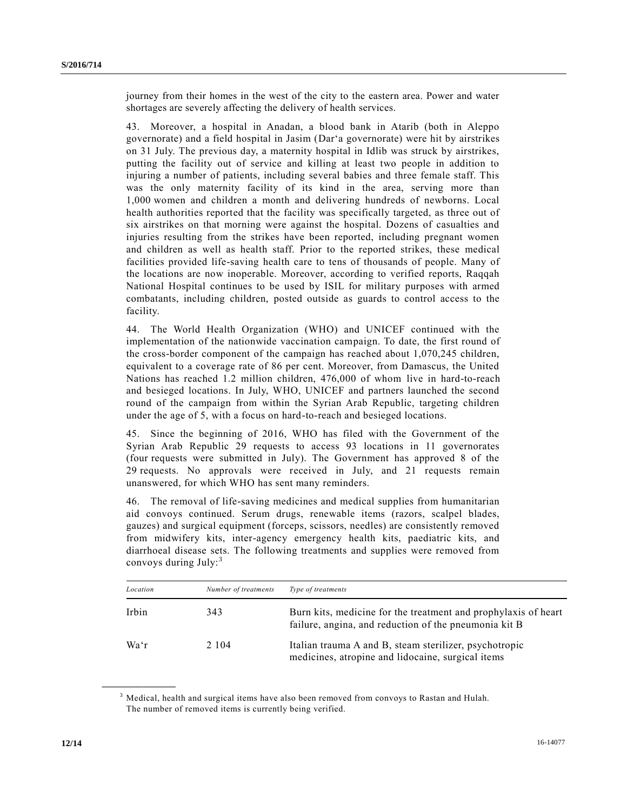journey from their homes in the west of the city to the eastern area. Power and water shortages are severely affecting the delivery of health services.

43. Moreover, a hospital in Anadan, a blood bank in Atarib (both in Aleppo governorate) and a field hospital in Jasim (Dar'a governorate) were hit by airstrikes on 31 July. The previous day, a maternity hospital in Idlib was struck by airstrikes, putting the facility out of service and killing at least two people in addition to injuring a number of patients, including several babies and three female staff. This was the only maternity facility of its kind in the area, serving more than 1,000 women and children a month and delivering hundreds of newborns. Local health authorities reported that the facility was specifically targeted, as three out of six airstrikes on that morning were against the hospital. Dozens of casualties and injuries resulting from the strikes have been reported, including pregnant women and children as well as health staff. Prior to the reported strikes, these medical facilities provided life-saving health care to tens of thousands of people. Many of the locations are now inoperable. Moreover, according to verified reports, Raqqah National Hospital continues to be used by ISIL for military purposes with armed combatants, including children, posted outside as guards to control access to the facility.

44. The World Health Organization (WHO) and UNICEF continued with the implementation of the nationwide vaccination campaign. To date, the first round of the cross-border component of the campaign has reached about 1,070,245 children, equivalent to a coverage rate of 86 per cent. Moreover, from Damascus, the United Nations has reached 1.2 million children, 476,000 of whom live in hard-to-reach and besieged locations. In July, WHO, UNICEF and partners launched the second round of the campaign from within the Syrian Arab Republic, targeting children under the age of 5, with a focus on hard-to-reach and besieged locations.

45. Since the beginning of 2016, WHO has filed with the Government of the Syrian Arab Republic 29 requests to access 93 locations in 11 governorates (four requests were submitted in July). The Government has approved 8 of the 29 requests. No approvals were received in July, and 21 requests remain unanswered, for which WHO has sent many reminders.

46. The removal of life-saving medicines and medical supplies from humanitarian aid convoys continued. Serum drugs, renewable items (razors, scalpel blades, gauzes) and surgical equipment (forceps, scissors, needles) are consistently removed from midwifery kits, inter-agency emergency health kits, paediatric kits, and diarrhoeal disease sets. The following treatments and supplies were removed from convoys during July:<sup>3</sup>

| Location | Number of treatments | Type of treatments                                                                                                      |
|----------|----------------------|-------------------------------------------------------------------------------------------------------------------------|
| Irbin    | 343                  | Burn kits, medicine for the treatment and prophylaxis of heart<br>failure, angina, and reduction of the pneumonia kit B |
| Wa'r     | 2 1 0 4              | Italian trauma A and B, steam sterilizer, psychotropic<br>medicines, atropine and lidocaine, surgical items             |

<sup>&</sup>lt;sup>3</sup> Medical, health and surgical items have also been removed from convoys to Rastan and Hulah. The number of removed items is currently being verified.

**\_\_\_\_\_\_\_\_\_\_\_\_\_\_\_\_\_\_**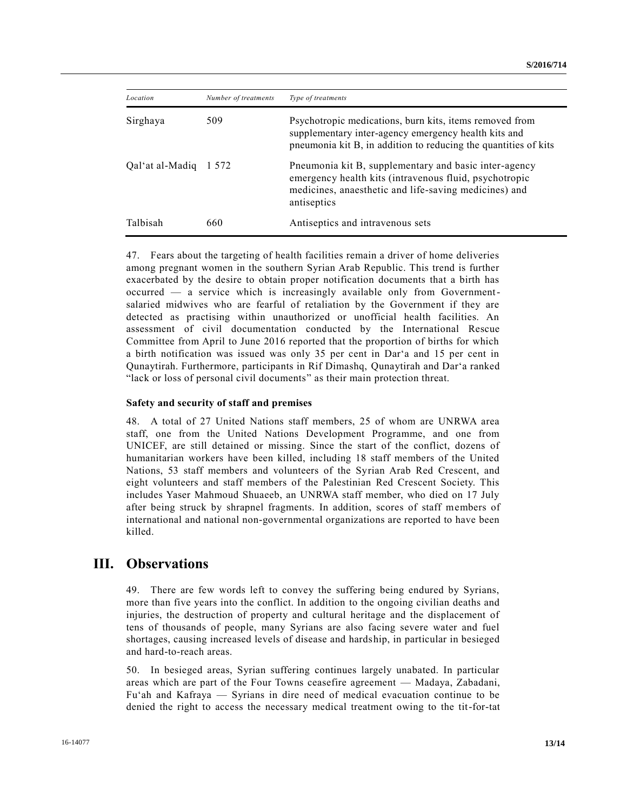| Location              | Number of treatments | Type of treatments                                                                                                                                                                      |
|-----------------------|----------------------|-----------------------------------------------------------------------------------------------------------------------------------------------------------------------------------------|
| Sirghaya              | 509                  | Psychotropic medications, burn kits, items removed from<br>supplementary inter-agency emergency health kits and<br>pneumonia kit B, in addition to reducing the quantities of kits      |
| Oal'at al-Madiq 1 572 |                      | Pneumonia kit B, supplementary and basic inter-agency<br>emergency health kits (intravenous fluid, psychotropic<br>medicines, anaesthetic and life-saving medicines) and<br>antiseptics |
| Talbisah              | 660                  | Antiseptics and intravenous sets                                                                                                                                                        |

47. Fears about the targeting of health facilities remain a driver of home deliveries among pregnant women in the southern Syrian Arab Republic. This trend is further exacerbated by the desire to obtain proper notification documents that a birth has occurred — a service which is increasingly available only from Governmentsalaried midwives who are fearful of retaliation by the Government if they are detected as practising within unauthorized or unofficial health facilities. An assessment of civil documentation conducted by the International Rescue Committee from April to June 2016 reported that the proportion of births for which a birth notification was issued was only 35 per cent in Dar'a and 15 per cent in Qunaytirah. Furthermore, participants in Rif Dimashq, Qunaytirah and Dar'a ranked "lack or loss of personal civil documents" as their main protection threat.

#### **Safety and security of staff and premises**

48. A total of 27 United Nations staff members, 25 of whom are UNRWA area staff, one from the United Nations Development Programme, and one from UNICEF, are still detained or missing. Since the start of the conflict, dozens of humanitarian workers have been killed, including 18 staff members of the United Nations, 53 staff members and volunteers of the Syrian Arab Red Crescent, and eight volunteers and staff members of the Palestinian Red Crescent Society. This includes Yaser Mahmoud Shuaeeb, an UNRWA staff member, who died on 17 July after being struck by shrapnel fragments. In addition, scores of staff members of international and national non-governmental organizations are reported to have been killed.

## **III. Observations**

49. There are few words left to convey the suffering being endured by Syrians, more than five years into the conflict. In addition to the ongoing civilian deaths and injuries, the destruction of property and cultural heritage and the displacement of tens of thousands of people, many Syrians are also facing severe water and fuel shortages, causing increased levels of disease and hardship, in particular in besieged and hard-to-reach areas.

50. In besieged areas, Syrian suffering continues largely unabated. In particular areas which are part of the Four Towns ceasefire agreement — Madaya, Zabadani, Fu'ah and Kafraya — Syrians in dire need of medical evacuation continue to be denied the right to access the necessary medical treatment owing to the tit-for-tat